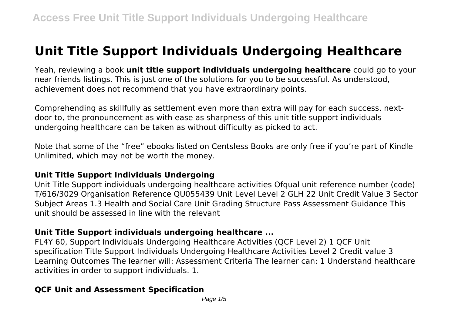# **Unit Title Support Individuals Undergoing Healthcare**

Yeah, reviewing a book **unit title support individuals undergoing healthcare** could go to your near friends listings. This is just one of the solutions for you to be successful. As understood, achievement does not recommend that you have extraordinary points.

Comprehending as skillfully as settlement even more than extra will pay for each success. nextdoor to, the pronouncement as with ease as sharpness of this unit title support individuals undergoing healthcare can be taken as without difficulty as picked to act.

Note that some of the "free" ebooks listed on Centsless Books are only free if you're part of Kindle Unlimited, which may not be worth the money.

## **Unit Title Support Individuals Undergoing**

Unit Title Support individuals undergoing healthcare activities Ofqual unit reference number (code) T/616/3029 Organisation Reference QU055439 Unit Level Level 2 GLH 22 Unit Credit Value 3 Sector Subject Areas 1.3 Health and Social Care Unit Grading Structure Pass Assessment Guidance This unit should be assessed in line with the relevant

# **Unit Title Support individuals undergoing healthcare ...**

FL4Y 60, Support Individuals Undergoing Healthcare Activities (QCF Level 2) 1 QCF Unit specification Title Support Individuals Undergoing Healthcare Activities Level 2 Credit value 3 Learning Outcomes The learner will: Assessment Criteria The learner can: 1 Understand healthcare activities in order to support individuals. 1.

# **QCF Unit and Assessment Specification**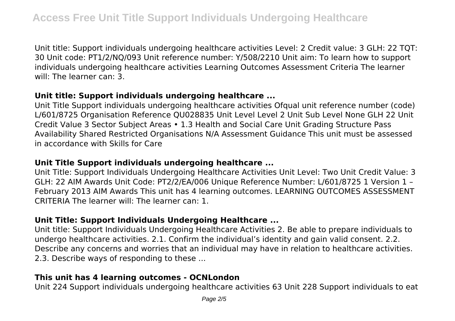Unit title: Support individuals undergoing healthcare activities Level: 2 Credit value: 3 GLH: 22 TQT: 30 Unit code: PT1/2/NQ/093 Unit reference number: Y/508/2210 Unit aim: To learn how to support individuals undergoing healthcare activities Learning Outcomes Assessment Criteria The learner will: The learner can: 3.

## **Unit title: Support individuals undergoing healthcare ...**

Unit Title Support individuals undergoing healthcare activities Ofqual unit reference number (code) L/601/8725 Organisation Reference QU028835 Unit Level Level 2 Unit Sub Level None GLH 22 Unit Credit Value 3 Sector Subject Areas • 1.3 Health and Social Care Unit Grading Structure Pass Availability Shared Restricted Organisations N/A Assessment Guidance This unit must be assessed in accordance with Skills for Care

#### **Unit Title Support individuals undergoing healthcare ...**

Unit Title: Support Individuals Undergoing Healthcare Activities Unit Level: Two Unit Credit Value: 3 GLH: 22 AIM Awards Unit Code: PT2/2/EA/006 Unique Reference Number: L/601/8725 1 Version 1 – February 2013 AIM Awards This unit has 4 learning outcomes. LEARNING OUTCOMES ASSESSMENT CRITERIA The learner will: The learner can: 1.

### **Unit Title: Support Individuals Undergoing Healthcare ...**

Unit title: Support Individuals Undergoing Healthcare Activities 2. Be able to prepare individuals to undergo healthcare activities. 2.1. Confirm the individual's identity and gain valid consent. 2.2. Describe any concerns and worries that an individual may have in relation to healthcare activities. 2.3. Describe ways of responding to these ...

### **This unit has 4 learning outcomes - OCNLondon**

Unit 224 Support individuals undergoing healthcare activities 63 Unit 228 Support individuals to eat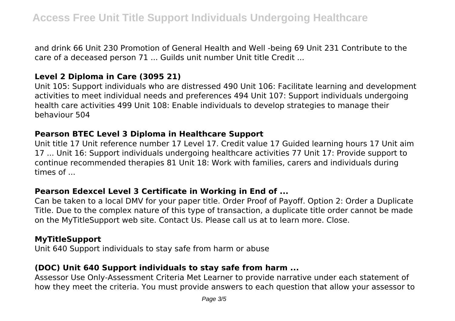and drink 66 Unit 230 Promotion of General Health and Well ‐being 69 Unit 231 Contribute to the care of a deceased person 71 ... Guilds unit number Unit title Credit ...

## **Level 2 Diploma in Care (3095 21)**

Unit 105: Support individuals who are distressed 490 Unit 106: Facilitate learning and development activities to meet individual needs and preferences 494 Unit 107: Support individuals undergoing health care activities 499 Unit 108: Enable individuals to develop strategies to manage their behaviour 504

#### **Pearson BTEC Level 3 Diploma in Healthcare Support**

Unit title 17 Unit reference number 17 Level 17. Credit value 17 Guided learning hours 17 Unit aim 17 ... Unit 16: Support individuals undergoing healthcare activities 77 Unit 17: Provide support to continue recommended therapies 81 Unit 18: Work with families, carers and individuals during times of ...

## **Pearson Edexcel Level 3 Certificate in Working in End of ...**

Can be taken to a local DMV for your paper title. Order Proof of Payoff. Option 2: Order a Duplicate Title. Due to the complex nature of this type of transaction, a duplicate title order cannot be made on the MyTitleSupport web site. Contact Us. Please call us at to learn more. Close.

## **MyTitleSupport**

Unit 640 Support individuals to stay safe from harm or abuse

# **(DOC) Unit 640 Support individuals to stay safe from harm ...**

Assessor Use Only-Assessment Criteria Met Learner to provide narrative under each statement of how they meet the criteria. You must provide answers to each question that allow your assessor to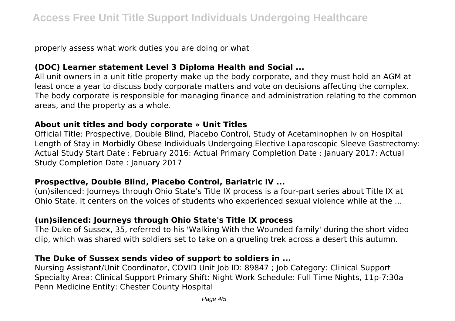properly assess what work duties you are doing or what

### **(DOC) Learner statement Level 3 Diploma Health and Social ...**

All unit owners in a unit title property make up the body corporate, and they must hold an AGM at least once a year to discuss body corporate matters and vote on decisions affecting the complex. The body corporate is responsible for managing finance and administration relating to the common areas, and the property as a whole.

#### **About unit titles and body corporate » Unit Titles**

Official Title: Prospective, Double Blind, Placebo Control, Study of Acetaminophen iv on Hospital Length of Stay in Morbidly Obese Individuals Undergoing Elective Laparoscopic Sleeve Gastrectomy: Actual Study Start Date : February 2016: Actual Primary Completion Date : January 2017: Actual Study Completion Date : January 2017

### **Prospective, Double Blind, Placebo Control, Bariatric IV ...**

(un)silenced: Journeys through Ohio State's Title IX process is a four-part series about Title IX at Ohio State. It centers on the voices of students who experienced sexual violence while at the ...

## **(un)silenced: Journeys through Ohio State's Title IX process**

The Duke of Sussex, 35, referred to his 'Walking With the Wounded family' during the short video clip, which was shared with soldiers set to take on a grueling trek across a desert this autumn.

### **The Duke of Sussex sends video of support to soldiers in ...**

Nursing Assistant/Unit Coordinator, COVID Unit Job ID: 89847 ; Job Category: Clinical Support Specialty Area: Clinical Support Primary Shift: Night Work Schedule: Full Time Nights, 11p-7:30a Penn Medicine Entity: Chester County Hospital